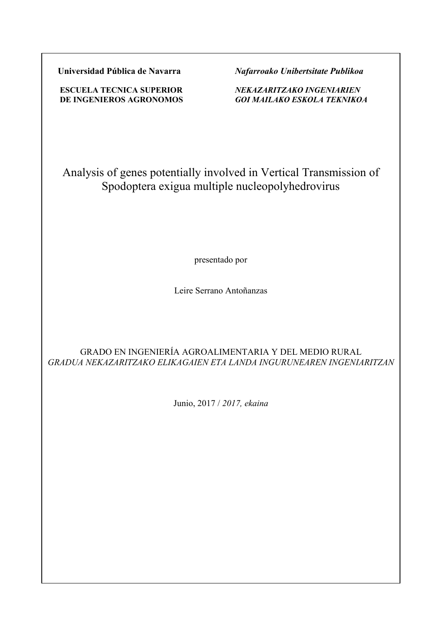**Universidad Pública de Navarra** *Nafarroako Unibertsitate Publikoa*

 **ESCUELA TECNICA SUPERIOR** *NEKAZARITZAKO INGENIARIEN*  **DE INGENIEROS AGRONOMOS** *GOI MAILAKO ESKOLA TEKNIKOA*

Analysis of genes potentially involved in Vertical Transmission of Spodoptera exigua multiple nucleopolyhedrovirus

presentado por

Leire Serrano Antoñanzas

# GRADO EN INGENIERÍA AGROALIMENTARIA Y DEL MEDIO RURAL *GRADUA NEKAZARITZAKO ELIKAGAIEN ETA LANDA INGURUNEAREN INGENIARITZAN*

Junio, 2017 / *2017, ekaina*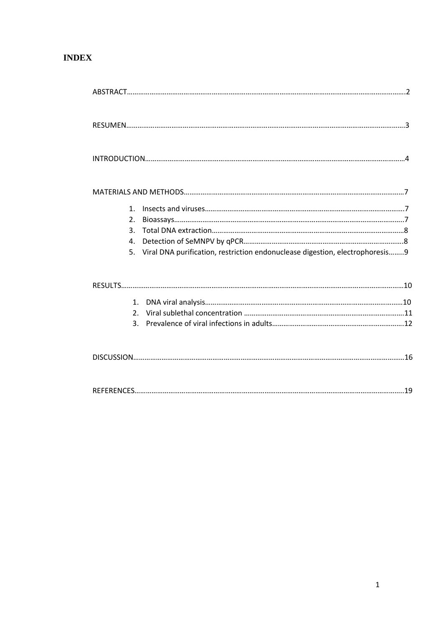# **INDEX**

| 1.                                                                                 |  |
|------------------------------------------------------------------------------------|--|
| $\overline{2}$ .                                                                   |  |
| 3.                                                                                 |  |
| 4.                                                                                 |  |
| Viral DNA purification, restriction endonuclease digestion, electrophoresis9<br>5. |  |
|                                                                                    |  |
| $\mathbf{1}$ .                                                                     |  |
| 2 <sup>1</sup>                                                                     |  |
| 3.                                                                                 |  |
|                                                                                    |  |
|                                                                                    |  |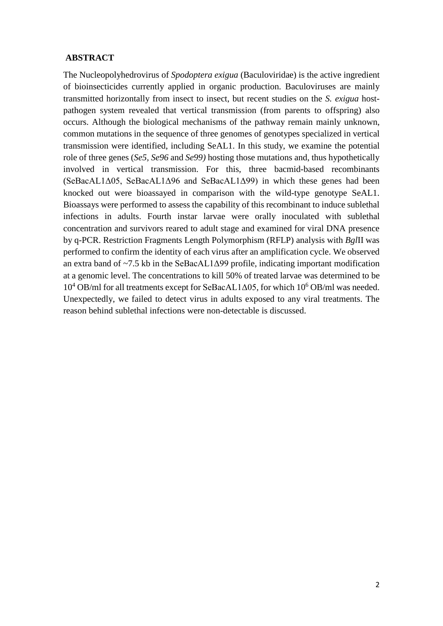#### **ABSTRACT**

The Nucleopolyhedrovirus of *Spodoptera exigua* (Baculoviridae) is the active ingredient of bioinsecticides currently applied in organic production. Baculoviruses are mainly transmitted horizontally from insect to insect, but recent studies on the *S. exigua* hostpathogen system revealed that vertical transmission (from parents to offspring) also occurs. Although the biological mechanisms of the pathway remain mainly unknown, common mutations in the sequence of three genomes of genotypes specialized in vertical transmission were identified, including SeAL1. In this study, we examine the potential role of three genes (*Se5, Se96* and *Se99)* hosting those mutations and, thus hypothetically involved in vertical transmission. For this, three bacmid-based recombinants (SeBacAL1Δ05, SeBacAL1Δ96 and SeBacAL1Δ99) in which these genes had been knocked out were bioassayed in comparison with the wild-type genotype SeAL1. Bioassays were performed to assess the capability of this recombinant to induce sublethal infections in adults. Fourth instar larvae were orally inoculated with sublethal concentration and survivors reared to adult stage and examined for viral DNA presence by q-PCR. Restriction Fragments Length Polymorphism (RFLP) analysis with *Bgl*II was performed to confirm the identity of each virus after an amplification cycle. We observed an extra band of  $\sim$ 7.5 kb in the SeBacAL1 $\Delta$ 99 profile, indicating important modification at a genomic level. The concentrations to kill 50% of treated larvae was determined to be  $10^4$  OB/ml for all treatments except for SeBacAL1 $\Delta$ 05, for which  $10^6$  OB/ml was needed. Unexpectedly, we failed to detect virus in adults exposed to any viral treatments. The reason behind sublethal infections were non-detectable is discussed.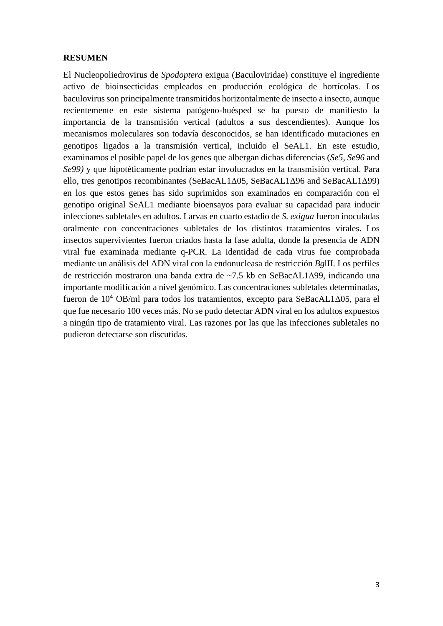### **RESUMEN**

El Nucleopoliedrovirus de *Spodoptera* exigua (Baculoviridae) constituye el ingrediente activo de bioinsecticidas empleados en producción ecológica de hortícolas. Los baculovirus son principalmente transmitidos horizontalmente de insecto a insecto, aunque recientemente en este sistema patógeno-huésped se ha puesto de manifiesto la importancia de la transmisión vertical (adultos a sus descendientes). Aunque los mecanismos moleculares son todavía desconocidos, se han identificado mutaciones en genotipos ligados a la transmisión vertical, incluido el SeAL1. En este estudio, examinamos el posible papel de los genes que albergan dichas diferencias (*Se5, Se96* and *Se99)* y que hipotéticamente podrían estar involucrados en la transmisión vertical. Para ello, tres genotipos recombinantes (SeBacAL1Δ05, SeBacAL1Δ96 and SeBacAL1Δ99) en los que estos genes has sido suprimidos son examinados en comparación con el genotipo original SeAL1 mediante bioensayos para evaluar su capacidad para inducir infecciones subletales en adultos. Larvas en cuarto estadio de *S. exigua* fueron inoculadas oralmente con concentraciones subletales de los distintos tratamientos virales. Los insectos supervivientes fueron criados hasta la fase adulta, donde la presencia de ADN viral fue examinada mediante q-PCR. La identidad de cada virus fue comprobada mediante un análisis del ADN viral con la endonucleasa de restricción *Bg*lII. Los perfiles de restricción mostraron una banda extra de ~7.5 kb en SeBacAL1Δ99, indicando una importante modificación a nivel genómico. Las concentraciones subletales determinadas, fueron de  $10^4$  OB/ml para todos los tratamientos, excepto para SeBacAL1 $\Delta$ 05, para el que fue necesario 100 veces más. No se pudo detectar ADN viral en los adultos expuestos a ningún tipo de tratamiento viral. Las razones por las que las infecciones subletales no pudieron detectarse son discutidas.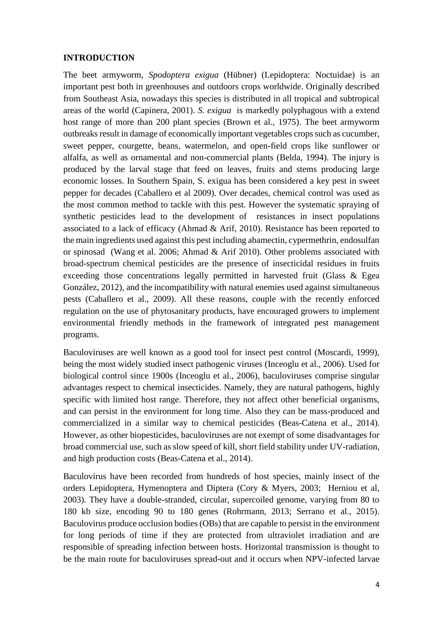### **INTRODUCTION**

The beet armyworm, *Spodoptera exigua* (Hübner) (Lepidoptera: Noctuidae) is an important pest both in greenhouses and outdoors crops worldwide. Originally described from Southeast Asia, nowadays this species is distributed in all tropical and subtropical areas of the world (Capinera, 2001). *S. exigua* is markedly polyphagous with a extend host range of more than 200 plant species (Brown et al., 1975). The beet armyworm outbreaks result in damage of economically important vegetables crops such as cucumber, sweet pepper, courgette, beans, watermelon, and open-field crops like sunflower or alfalfa, as well as ornamental and non-commercial plants (Belda, 1994). The injury is produced by the larval stage that feed on leaves, fruits and stems producing large economic losses. In Southern Spain, S. exigua has been considered a key pest in sweet pepper for decades (Caballero et al 2009). Over decades, chemical control was used as the most common method to tackle with this pest. However the systematic spraying of synthetic pesticides lead to the development of resistances in insect populations associated to a lack of efficacy (Ahmad & Arif, 2010). Resistance has been reported to the main ingredients used against this pest including abamectin, cypermethrin, endosulfan or spinosad (Wang et al. 2006; Ahmad & Arif 2010). Other problems associated with broad-spectrum chemical pesticides are the presence of insecticidal residues in fruits exceeding those concentrations legally permitted in harvested fruit (Glass & Egea González, 2012), and the incompatibility with natural enemies used against simultaneous pests (Caballero et al., 2009). All these reasons, couple with the recently enforced regulation on the use of phytosanitary products, have encouraged growers to implement environmental friendly methods in the framework of integrated pest management programs.

Baculoviruses are well known as a good tool for insect pest control (Moscardi, 1999), being the most widely studied insect pathogenic viruses (Inceoglu et al., 2006). Used for biological control since 1900s (Inceoglu et al., 2006), baculoviruses comprise singular advantages respect to chemical insecticides. Namely, they are natural pathogens, highly specific with limited host range. Therefore, they not affect other beneficial organisms, and can persist in the environment for long time. Also they can be mass-produced and commercialized in a similar way to chemical pesticides (Beas-Catena et al., 2014). However, as other biopesticides, baculoviruses are not exempt of some disadvantages for broad commercial use, such as slow speed of kill, short field stability under UV-radiation, and high production costs (Beas-Catena et al., 2014).

Baculovirus have been recorded from hundreds of host species, mainly insect of the orders Lepidoptera, Hymenoptera and Diptera (Cory & Myers, 2003; Herniou et al, 2003). They have a double-stranded, circular, supercoiled genome, varying from 80 to 180 kb size, encoding 90 to 180 genes (Rohrmann, 2013; Serrano et al., 2015). Baculovirus produce occlusion bodies (OBs) that are capable to persist in the environment for long periods of time if they are protected from ultraviolet irradiation and are responsible of spreading infection between hosts. Horizontal transmission is thought to be the main route for baculoviruses spread-out and it occurs when NPV-infected larvae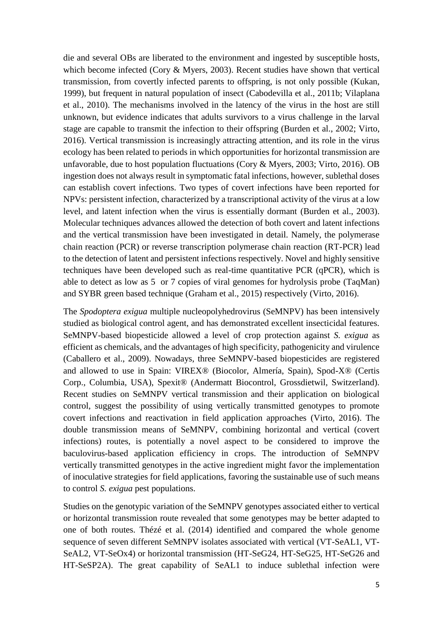die and several OBs are liberated to the environment and ingested by susceptible hosts, which become infected (Cory & Myers, 2003). Recent studies have shown that vertical transmission, from covertly infected parents to offspring, is not only possible (Kukan, 1999), but frequent in natural population of insect (Cabodevilla et al., 2011b; Vilaplana et al., 2010). The mechanisms involved in the latency of the virus in the host are still unknown, but evidence indicates that adults survivors to a virus challenge in the larval stage are capable to transmit the infection to their offspring (Burden et al., 2002; Virto, 2016). Vertical transmission is increasingly attracting attention, and its role in the virus ecology has been related to periods in which opportunities for horizontal transmission are unfavorable, due to host population fluctuations (Cory & Myers, 2003; Virto, 2016). OB ingestion does not always result in symptomatic fatal infections, however, sublethal doses can establish covert infections. Two types of covert infections have been reported for NPVs: persistent infection, characterized by a transcriptional activity of the virus at a low level, and latent infection when the virus is essentially dormant (Burden et al., 2003). Molecular techniques advances allowed the detection of both covert and latent infections and the vertical transmission have been investigated in detail. Namely, the polymerase chain reaction (PCR) or reverse transcription polymerase chain reaction (RT-PCR) lead to the detection of latent and persistent infections respectively. Novel and highly sensitive techniques have been developed such as real-time quantitative PCR (qPCR), which is able to detect as low as 5 or 7 copies of viral genomes for hydrolysis probe (TaqMan) and SYBR green based technique (Graham et al., 2015) respectively (Virto, 2016).

The *Spodoptera exigua* multiple nucleopolyhedrovirus (SeMNPV) has been intensively studied as biological control agent, and has demonstrated excellent insecticidal features. SeMNPV-based biopesticide allowed a level of crop protection against *S. exigua* as efficient as chemicals, and the advantages of high specificity, pathogenicity and virulence (Caballero et al., 2009). Nowadays, three SeMNPV-based biopesticides are registered and allowed to use in Spain: VIREX® (Biocolor, Almería, Spain), Spod-X® (Certis Corp., Columbia, USA), Spexit® (Andermatt Biocontrol, Grossdietwil, Switzerland). Recent studies on SeMNPV vertical transmission and their application on biological control, suggest the possibility of using vertically transmitted genotypes to promote covert infections and reactivation in field application approaches (Virto, 2016). The double transmission means of SeMNPV, combining horizontal and vertical (covert infections) routes, is potentially a novel aspect to be considered to improve the baculovirus-based application efficiency in crops. The introduction of SeMNPV vertically transmitted genotypes in the active ingredient might favor the implementation of inoculative strategies for field applications, favoring the sustainable use of such means to control *S. exigua* pest populations.

Studies on the genotypic variation of the SeMNPV genotypes associated either to vertical or horizontal transmission route revealed that some genotypes may be better adapted to one of both routes. Thézé et al. (2014) identified and compared the whole genome sequence of seven different SeMNPV isolates associated with vertical (VT-SeAL1, VT-SeAL2, VT-SeOx4) or horizontal transmission (HT-SeG24, HT-SeG25, HT-SeG26 and HT-SeSP2A). The great capability of SeAL1 to induce sublethal infection were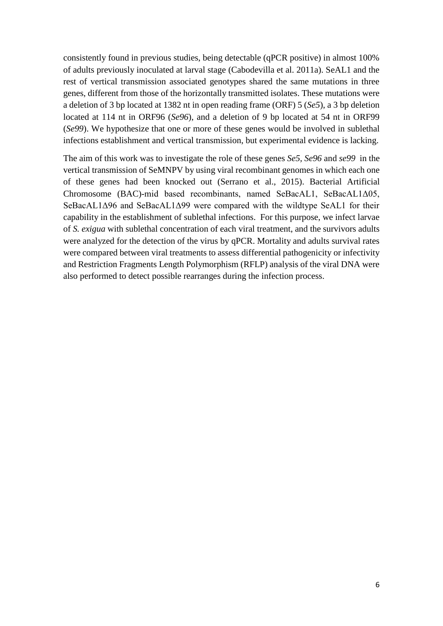consistently found in previous studies, being detectable (qPCR positive) in almost 100% of adults previously inoculated at larval stage (Cabodevilla et al. 2011a). SeAL1 and the rest of vertical transmission associated genotypes shared the same mutations in three genes, different from those of the horizontally transmitted isolates. These mutations were a deletion of 3 bp located at 1382 nt in open reading frame (ORF) 5 (*Se5*), a 3 bp deletion located at 114 nt in ORF96 (*Se96*), and a deletion of 9 bp located at 54 nt in ORF99 (*Se99*). We hypothesize that one or more of these genes would be involved in sublethal infections establishment and vertical transmission, but experimental evidence is lacking.

The aim of this work was to investigate the role of these genes *Se5, Se96* and *se99* in the vertical transmission of SeMNPV by using viral recombinant genomes in which each one of these genes had been knocked out (Serrano et al., 2015). Bacterial Artificial Chromosome (BAC)-mid based recombinants, named SeBacAL1, SeBacAL1Δ05, SeBacAL1Δ96 and SeBacAL1Δ99 were compared with the wildtype SeAL1 for their capability in the establishment of sublethal infections. For this purpose, we infect larvae of *S. exigua* with sublethal concentration of each viral treatment, and the survivors adults were analyzed for the detection of the virus by qPCR. Mortality and adults survival rates were compared between viral treatments to assess differential pathogenicity or infectivity and Restriction Fragments Length Polymorphism (RFLP) analysis of the viral DNA were also performed to detect possible rearranges during the infection process.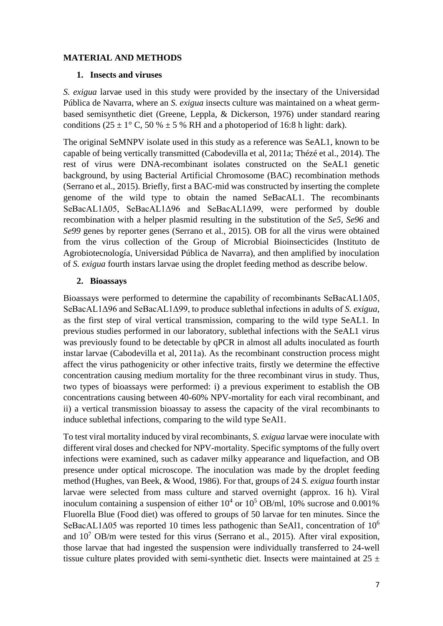# **MATERIAL AND METHODS**

### **1. Insects and viruses**

*S. exigua* larvae used in this study were provided by the insectary of the Universidad Pública de Navarra, where an *S. exigua* insects culture was maintained on a wheat germbased semisynthetic diet (Greene, Leppla, & Dickerson, 1976) under standard rearing conditions (25  $\pm$  1° C, 50 %  $\pm$  5 % RH and a photoperiod of 16:8 h light: dark).

The original SeMNPV isolate used in this study as a reference was SeAL1, known to be capable of being vertically transmitted (Cabodevilla et al, 2011a; Thézé et al., 2014). The rest of virus were DNA-recombinant isolates constructed on the SeAL1 genetic background, by using Bacterial Artificial Chromosome (BAC) recombination methods (Serrano et al., 2015). Briefly, first a BAC-mid was constructed by inserting the complete genome of the wild type to obtain the named SeBacAL1. The recombinants SeBacAL1Δ05, SeBacAL1Δ96 and SeBacAL1Δ99, were performed by double recombination with a helper plasmid resulting in the substitution of the *Se5, Se96* and *Se99* genes by reporter genes (Serrano et al., 2015). OB for all the virus were obtained from the virus collection of the Group of Microbial Bioinsecticides (Instituto de Agrobiotecnología, Universidad Pública de Navarra), and then amplified by inoculation of *S. exigua* fourth instars larvae using the droplet feeding method as describe below.

# **2. Bioassays**

Bioassays were performed to determine the capability of recombinants SeBacAL1Δ05, SeBacAL1Δ96 and SeBacAL1Δ99, to produce sublethal infections in adults of *S. exigua*, as the first step of viral vertical transmission, comparing to the wild type SeAL1. In previous studies performed in our laboratory, sublethal infections with the SeAL1 virus was previously found to be detectable by qPCR in almost all adults inoculated as fourth instar larvae (Cabodevilla et al, 2011a). As the recombinant construction process might affect the virus pathogenicity or other infective traits, firstly we determine the effective concentration causing medium mortality for the three recombinant virus in study. Thus, two types of bioassays were performed: i) a previous experiment to establish the OB concentrations causing between 40-60% NPV-mortality for each viral recombinant, and ii) a vertical transmission bioassay to assess the capacity of the viral recombinants to induce sublethal infections, comparing to the wild type SeAl1.

To test viral mortality induced by viral recombinants, *S. exigua* larvae were inoculate with different viral doses and checked for NPV-mortality. Specific symptoms of the fully overt infections were examined, such as cadaver milky appearance and liquefaction, and OB presence under optical microscope. The inoculation was made by the droplet feeding method (Hughes, van Beek, & Wood, 1986). For that, groups of 24 *S. exigua* fourth instar larvae were selected from mass culture and starved overnight (approx. 16 h). Viral inoculum containing a suspension of either  $10^4$  or  $10^5$  OB/ml, 10% sucrose and 0.001% Fluorella Blue (Food diet) was offered to groups of 50 larvae for ten minutes. Since the SeBacAL1Δ05 was reported 10 times less pathogenic than SeAl1, concentration of 10<sup>6</sup> and  $10^7$  OB/m were tested for this virus (Serrano et al., 2015). After viral exposition, those larvae that had ingested the suspension were individually transferred to 24-well tissue culture plates provided with semi-synthetic diet. Insects were maintained at  $25 \pm$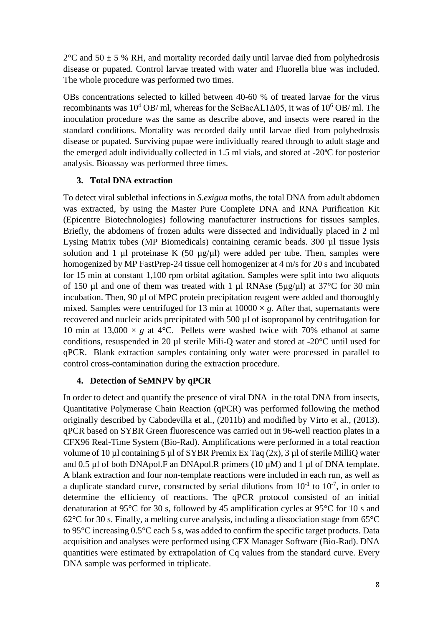$2^{\circ}$ C and 50  $\pm$  5 % RH, and mortality recorded daily until larvae died from polyhedrosis disease or pupated. Control larvae treated with water and Fluorella blue was included. The whole procedure was performed two times.

OBs concentrations selected to killed between 40-60 % of treated larvae for the virus recombinants was  $10^4$  OB/ ml, whereas for the SeBacAL1 $\Delta$ 05, it was of  $10^6$  OB/ ml. The inoculation procedure was the same as describe above, and insects were reared in the standard conditions. Mortality was recorded daily until larvae died from polyhedrosis disease or pupated. Surviving pupae were individually reared through to adult stage and the emerged adult individually collected in 1.5 ml vials, and stored at -20ªC for posterior analysis. Bioassay was performed three times.

# **3. Total DNA extraction**

To detect viral sublethal infections in *S.exigua* moths, the total DNA from adult abdomen was extracted, by using the Master Pure Complete DNA and RNA Purification Kit (Epicentre Biotechnologies) following manufacturer instructions for tissues samples. Briefly, the abdomens of frozen adults were dissected and individually placed in 2 ml Lysing Matrix tubes (MP Biomedicals) containing ceramic beads. 300 µl tissue lysis solution and 1 µl proteinase K (50 µg/µl) were added per tube. Then, samples were homogenized by MP FastPrep-24 tissue cell homogenizer at 4 m/s for 20 s and incubated for 15 min at constant 1,100 rpm orbital agitation. Samples were split into two aliquots of 150  $\mu$ l and one of them was treated with 1  $\mu$ l RNAse (5 $\mu$ g/ $\mu$ l) at 37°C for 30 min incubation. Then, 90 µl of MPC protein precipitation reagent were added and thoroughly mixed. Samples were centrifuged for 13 min at  $10000 \times g$ . After that, supernatants were recovered and nucleic acids precipitated with 500 µl of isopropanol by centrifugation for 10 min at 13,000  $\times$  *g* at 4°C. Pellets were washed twice with 70% ethanol at same conditions, resuspended in 20 µl sterile Mili-Q water and stored at -20°C until used for qPCR. Blank extraction samples containing only water were processed in parallel to control cross-contamination during the extraction procedure.

# **4. Detection of SeMNPV by qPCR**

In order to detect and quantify the presence of viral DNA in the total DNA from insects, Quantitative Polymerase Chain Reaction (qPCR) was performed following the method originally described by Cabodevilla et al., (2011b) and modified by Virto et al., (2013). qPCR based on SYBR Green fluorescence was carried out in 96-well reaction plates in a CFX96 Real-Time System (Bio-Rad). Amplifications were performed in a total reaction volume of 10 µl containing 5 µl of SYBR Premix Ex Taq (2x), 3 µl of sterile MilliQ water and 0.5  $\mu$ l of both DNApol.F an DNApol.R primers (10  $\mu$ M) and 1  $\mu$ l of DNA template. A blank extraction and four non-template reactions were included in each run, as well as a duplicate standard curve, constructed by serial dilutions from  $10^{-1}$  to  $10^{-7}$ , in order to determine the efficiency of reactions. The qPCR protocol consisted of an initial denaturation at 95°C for 30 s, followed by 45 amplification cycles at 95°C for 10 s and  $62^{\circ}$ C for 30 s. Finally, a melting curve analysis, including a dissociation stage from  $65^{\circ}$ C to 95°C increasing 0.5°C each 5 s, was added to confirm the specific target products. Data acquisition and analyses were performed using CFX Manager Software (Bio-Rad). DNA quantities were estimated by extrapolation of Cq values from the standard curve. Every DNA sample was performed in triplicate.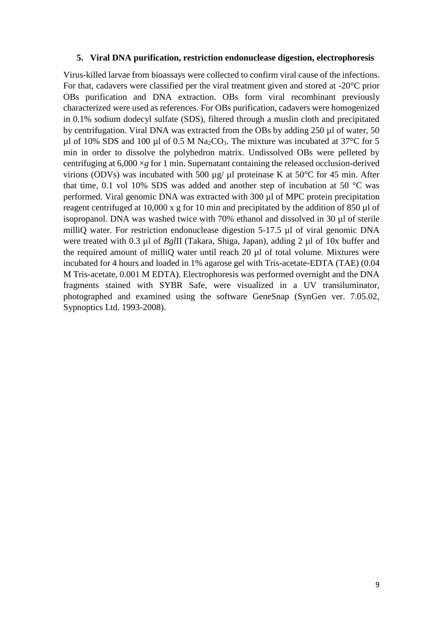#### **5. Viral DNA purification, restriction endonuclease digestion, electrophoresis**

Virus-killed larvae from bioassays were collected to confirm viral cause of the infections. For that, cadavers were classified per the viral treatment given and stored at -20°C prior OBs purification and DNA extraction. OBs form viral recombinant previously characterized were used as references. For OBs purification, cadavers were homogenized in 0.1% sodium dodecyl sulfate (SDS), filtered through a muslin cloth and precipitated by centrifugation. Viral DNA was extracted from the OBs by adding 250 µl of water, 50 µl of 10% SDS and 100 µl of 0.5 M Na<sub>2</sub>CO<sub>3</sub>. The mixture was incubated at 37°C for 5 min in order to dissolve the polyhedron matrix. Undissolved OBs were pelleted by centrifuging at 6,000 ×*g* for 1 min. Supernatant containing the released occlusion-derived virions (ODVs) was incubated with 500  $\mu$ g/ $\mu$ l proteinase K at 50°C for 45 min. After that time, 0.1 vol 10% SDS was added and another step of incubation at 50  $^{\circ}$ C was performed. Viral genomic DNA was extracted with 300 µl of MPC protein precipitation reagent centrifuged at 10,000 x g for 10 min and precipitated by the addition of 850 µl of isopropanol. DNA was washed twice with 70% ethanol and dissolved in 30 µl of sterile milliQ water. For restriction endonuclease digestion 5-17.5 µl of viral genomic DNA were treated with 0.3 µl of *Bgl*II (Takara, Shiga, Japan), adding 2 µl of 10x buffer and the required amount of milliQ water until reach 20 µl of total volume. Mixtures were incubated for 4 hours and loaded in 1% agarose gel with Tris-acetate-EDTA (TAE) (0.04 M Tris-acetate, 0.001 M EDTA). Electrophoresis was performed overnight and the DNA fragments stained with SYBR Safe, were visualized in a UV transiluminator, photographed and examined using the software GeneSnap (SynGen ver. 7.05.02, Sypnoptics Ltd. 1993-2008).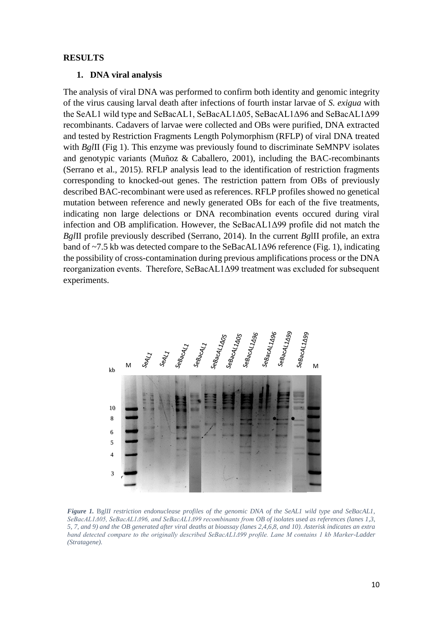#### **RESULTS**

#### **1. DNA viral analysis**

The analysis of viral DNA was performed to confirm both identity and genomic integrity of the virus causing larval death after infections of fourth instar larvae of *S. exigua* with the SeAL1 wild type and SeBacAL1, SeBacAL1Δ05, SeBacAL1Δ96 and SeBacAL1Δ99 recombinants. Cadavers of larvae were collected and OBs were purified, DNA extracted and tested by Restriction Fragments Length Polymorphism (RFLP) of viral DNA treated with *BglII* (Fig 1). This enzyme was previously found to discriminate SeMNPV isolates and genotypic variants (Muñoz & Caballero, 2001), including the BAC-recombinants (Serrano et al., 2015). RFLP analysis lead to the identification of restriction fragments corresponding to knocked-out genes. The restriction pattern from OBs of previously described BAC-recombinant were used as references. RFLP profiles showed no genetical mutation between reference and newly generated OBs for each of the five treatments, indicating non large delections or DNA recombination events occured during viral infection and OB amplification. However, the SeBacAL1Δ99 profile did not match the *Bgl*II profile previously described (Serrano, 2014). In the current *Bg*lII profile, an extra band of ~7.5 kb was detected compare to the SeBacAL1Δ96 reference (Fig. 1), indicating the possibility of cross-contamination during previous amplifications process or the DNA reorganization events. Therefore, SeBacAL1Δ99 treatment was excluded for subsequent experiments.



*Figure 1.* Bg*lII restriction endonuclease profiles of the genomic DNA of the SeAL1 wild type and SeBacAL1, SeBacAL1Δ05, SeBacAL1Δ96, and SeBacAL1Δ99 recombinants from OB of isolates used as references (lanes 1,3, 5, 7, and 9) and the OB generated after viral deaths at bioassay (lanes 2,4,6,8, and 10). Asterisk indicates an extra band detected compare to the originally described SeBacAL1Δ99 profile. Lane M contains 1 kb Marker-Ladder (Stratagene).*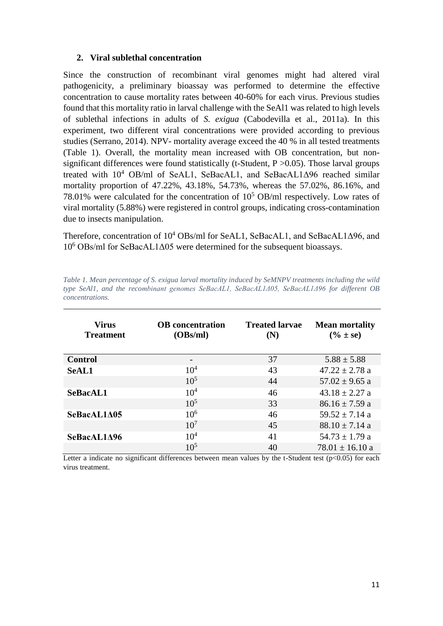### **2. Viral sublethal concentration**

Since the construction of recombinant viral genomes might had altered viral pathogenicity, a preliminary bioassay was performed to determine the effective concentration to cause mortality rates between 40-60% for each virus. Previous studies found that this mortality ratio in larval challenge with the SeAl1 was related to high levels of sublethal infections in adults of *S. exigua* (Cabodevilla et al., 2011a). In this experiment, two different viral concentrations were provided according to previous studies (Serrano, 2014). NPV- mortality average exceed the 40 % in all tested treatments (Table 1). Overall, the mortality mean increased with OB concentration, but nonsignificant differences were found statistically (t-Student,  $P > 0.05$ ). Those larval groups treated with 10<sup>4</sup> OB/ml of SeAL1, SeBacAL1, and SeBacAL1Δ96 reached similar mortality proportion of 47.22%, 43.18%, 54.73%, whereas the 57.02%, 86.16%, and 78.01% were calculated for the concentration of  $10^5$  OB/ml respectively. Low rates of viral mortality (5.88%) were registered in control groups, indicating cross-contamination due to insects manipulation.

Therefore, concentration of  $10^4$  OBs/ml for SeAL1, SeBacAL1, and SeBacAL1Δ96, and 10<sup>6</sup> OBs/ml for SeBacAL1Δ05 were determined for the subsequent bioassays.

| <b>Virus</b><br><b>Treatment</b> | <b>OB</b> concentration<br>(OBs/ml) | <b>Treated larvae</b><br>(N) | <b>Mean mortality</b><br>$(\% \pm \text{se})$ |
|----------------------------------|-------------------------------------|------------------------------|-----------------------------------------------|
| <b>Control</b>                   |                                     | 37                           | $5.88 \pm 5.88$                               |
| <b>SeAL1</b>                     | $10^{4}$                            | 43                           | $47.22 \pm 2.78$ a                            |
|                                  | $10^{5}$                            | 44                           | $57.02 \pm 9.65$ a                            |
| SeBacAL1                         | 10 <sup>4</sup>                     | 46                           | $43.18 \pm 2.27$ a                            |
|                                  | $10^{5}$                            | 33                           | $86.16 \pm 7.59$ a                            |
| SeBacAL1A05                      | $10^{6}$                            | 46                           | $59.52 \pm 7.14$ a                            |
|                                  | $10^{7}$                            | 45                           | $88.10 \pm 7.14$ a                            |
| SeBacAL1A96                      | 10 <sup>4</sup>                     | 41                           | $54.73 \pm 1.79$ a                            |
|                                  | $10^{5}$                            | 40                           | $78.01 \pm 16.10$ a                           |

*Table 1. Mean percentage of S. exigua larval mortality induced by SeMNPV treatments including the wild type SeAl1, and the recombinant genomes SeBacAL1, SeBacAL1Δ05, SeBacAL1Δ96 for different OB concentrations.* 

Letter a indicate no significant differences between mean values by the t-Student test ( $p<0.05$ ) for each virus treatment.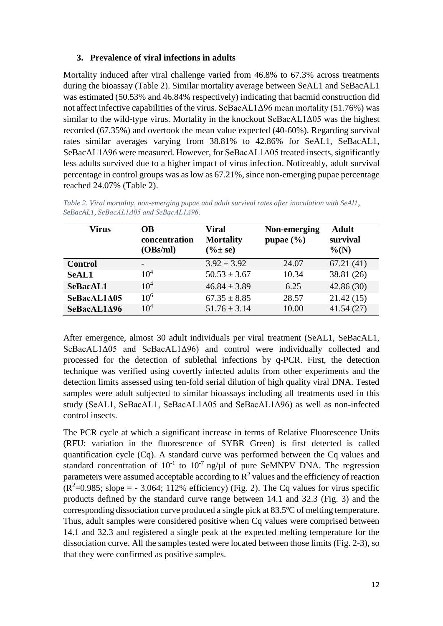# **3. Prevalence of viral infections in adults**

Mortality induced after viral challenge varied from 46.8% to 67.3% across treatments during the bioassay (Table 2). Similar mortality average between SeAL1 and SeBacAL1 was estimated (50.53% and 46.84% respectively) indicating that bacmid construction did not affect infective capabilities of the virus. SeBacAL1Δ96 mean mortality (51.76%) was similar to the wild-type virus. Mortality in the knockout SeBacAL1 $\Delta$ 05 was the highest recorded (67.35%) and overtook the mean value expected (40-60%). Regarding survival rates similar averages varying from 38.81% to 42.86% for SeAL1, SeBacAL1, SeBacAL1Δ96 were measured. However, for SeBacAL1Δ05 treated insects, significantly less adults survived due to a higher impact of virus infection. Noticeably, adult survival percentage in control groups was as low as 67.21%, since non-emerging pupae percentage reached 24.07% (Table 2).

| <b>Virus</b>   | OВ<br>concentration<br>(OBs/ml) | Viral<br><b>Mortality</b><br>$(\frac{9}{6} \pm \text{se})$ | Non-emerging<br>pupae $(\% )$ | <b>Adult</b><br>survival<br>$\%$ (N) |
|----------------|---------------------------------|------------------------------------------------------------|-------------------------------|--------------------------------------|
| <b>Control</b> |                                 | $3.92 \pm 3.92$                                            | 24.07                         | 67.21(41)                            |
| <b>SeAL1</b>   | 10 <sup>4</sup>                 | $50.53 \pm 3.67$                                           | 10.34                         | 38.81 (26)                           |
| SeBacAL1       | $10^4$                          | $46.84 \pm 3.89$                                           | 6.25                          | 42.86(30)                            |
| SeBacAL1A05    | $10^{6}$                        | $67.35 \pm 8.85$                                           | 28.57                         | 21.42(15)                            |
| SeBacAL1A96    | $10^{4}$                        | $51.76 \pm 3.14$                                           | 10.00                         | 41.54(27)                            |

*Table 2. Viral mortality, non-emerging pupae and adult survival rates after inoculation with SeAl1, SeBacAL1, SeBacAL1Δ05 and SeBacAL1Δ96.*

After emergence, almost 30 adult individuals per viral treatment (SeAL1, SeBacAL1, SeBacAL1Δ05 and SeBacAL1Δ96) and control were individually collected and processed for the detection of sublethal infections by q-PCR. First, the detection technique was verified using covertly infected adults from other experiments and the detection limits assessed using ten-fold serial dilution of high quality viral DNA. Tested samples were adult subjected to similar bioassays including all treatments used in this study (SeAL1, SeBacAL1, SeBacAL1Δ05 and SeBacAL1Δ96) as well as non-infected control insects.

The PCR cycle at which a significant increase in terms of Relative Fluorescence Units (RFU: variation in the fluorescence of SYBR Green) is first detected is called quantification cycle (Cq). A standard curve was performed between the Cq values and standard concentration of  $10^{-1}$  to  $10^{-7}$  ng/ $\mu$ l of pure SeMNPV DNA. The regression parameters were assumed acceptable according to  $\mathbb{R}^2$  values and the efficiency of reaction  $(R^2=0.985;$  slope = - 3.064; 112% efficiency) (Fig. 2). The Cq values for virus specific products defined by the standard curve range between 14.1 and 32.3 (Fig. 3) and the corresponding dissociation curve produced a single pick at 83.5ºC of melting temperature. Thus, adult samples were considered positive when Cq values were comprised between 14.1 and 32.3 and registered a single peak at the expected melting temperature for the dissociation curve. All the samples tested were located between those limits (Fig. 2-3), so that they were confirmed as positive samples.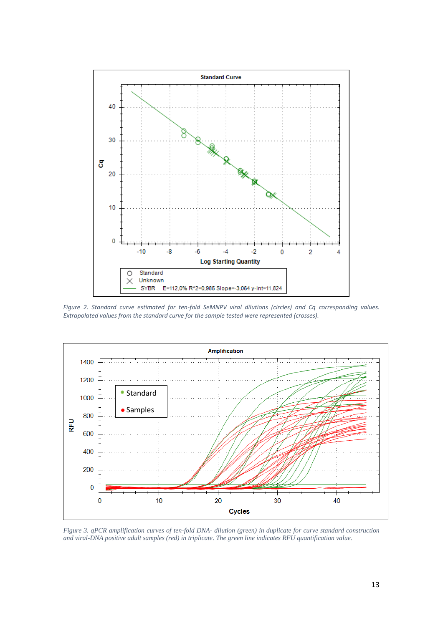

*Figure 2. Standard curve estimated for ten-fold SeMNPV viral dilutions (circles) and Cq corresponding values. Extrapolated values from the standard curve for the sample tested were represented (crosses).*



*Figure 3. qPCR amplification curves of ten-fold DNA- dilution (green) in duplicate for curve standard construction and viral-DNA positive adult samples (red) in triplicate. The green line indicates RFU quantification value.*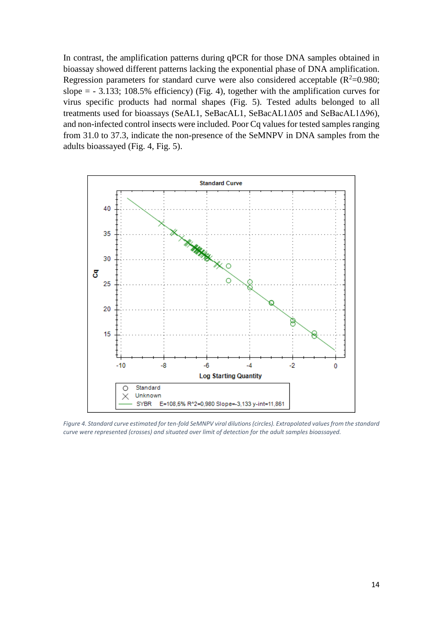In contrast, the amplification patterns during qPCR for those DNA samples obtained in bioassay showed different patterns lacking the exponential phase of DNA amplification. Regression parameters for standard curve were also considered acceptable ( $R^2$ =0.980; slope  $=$  - 3.133; 108.5% efficiency) (Fig. 4), together with the amplification curves for virus specific products had normal shapes (Fig. 5). Tested adults belonged to all treatments used for bioassays (SeAL1, SeBacAL1, SeBacAL1Δ05 and SeBacAL1Δ96), and non-infected control insects were included. Poor Cq values for tested samples ranging from 31.0 to 37.3, indicate the non-presence of the SeMNPV in DNA samples from the adults bioassayed (Fig. 4, Fig. 5).



*Figure 4. Standard curve estimated for ten-fold SeMNPV viral dilutions (circles). Extrapolated values from the standard curve were represented (crosses) and situated over limit of detection for the adult samples bioassayed.*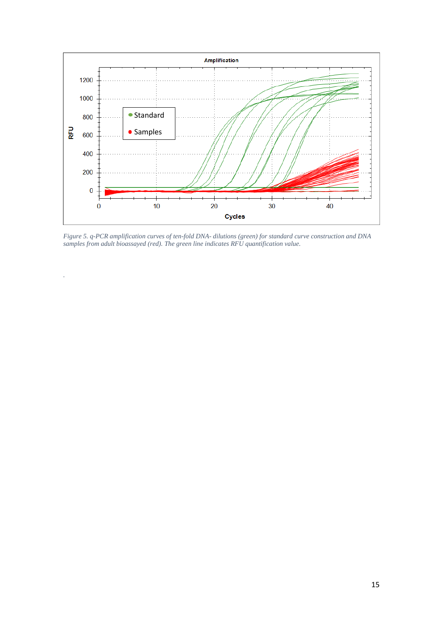

*Figure 5. q-PCR amplification curves of ten-fold DNA- dilutions (green) for standard curve construction and DNA samples from adult bioassayed (red). The green line indicates RFU quantification value.*

*.*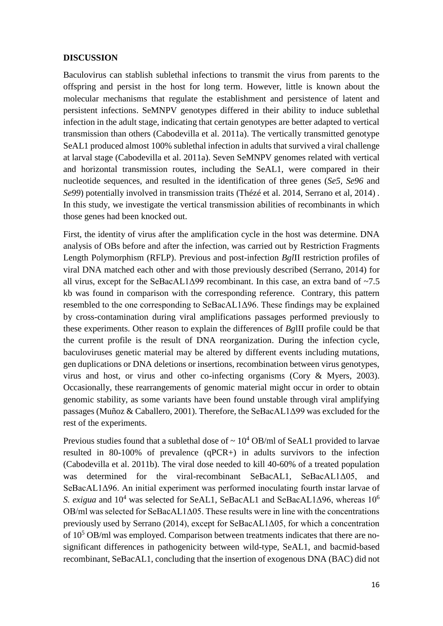### **DISCUSSION**

Baculovirus can stablish sublethal infections to transmit the virus from parents to the offspring and persist in the host for long term. However, little is known about the molecular mechanisms that regulate the establishment and persistence of latent and persistent infections. SeMNPV genotypes differed in their ability to induce sublethal infection in the adult stage, indicating that certain genotypes are better adapted to vertical transmission than others (Cabodevilla et al. 2011a). The vertically transmitted genotype SeAL1 produced almost 100% sublethal infection in adults that survived a viral challenge at larval stage (Cabodevilla et al. 2011a). Seven SeMNPV genomes related with vertical and horizontal transmission routes, including the SeAL1, were compared in their nucleotide sequences, and resulted in the identification of three genes (*Se5, Se96* and *Se99*) potentially involved in transmission traits (Thézé et al. 2014, Serrano et al, 2014) *.*  In this study, we investigate the vertical transmission abilities of recombinants in which those genes had been knocked out.

First, the identity of virus after the amplification cycle in the host was determine. DNA analysis of OBs before and after the infection, was carried out by Restriction Fragments Length Polymorphism (RFLP). Previous and post-infection *Bgl*II restriction profiles of viral DNA matched each other and with those previously described (Serrano, 2014) for all virus, except for the SeBacAL1 $\Delta$ 99 recombinant. In this case, an extra band of ~7.5 kb was found in comparison with the corresponding reference. Contrary, this pattern resembled to the one corresponding to SeBacAL1Δ96. These findings may be explained by cross-contamination during viral amplifications passages performed previously to these experiments. Other reason to explain the differences of *Bg*lII profile could be that the current profile is the result of DNA reorganization. During the infection cycle, baculoviruses genetic material may be altered by different events including mutations, gen duplications or DNA deletions or insertions, recombination between virus genotypes, virus and host, or virus and other co-infecting organisms (Cory & Myers, 2003). Occasionally, these rearrangements of genomic material might occur in order to obtain genomic stability, as some variants have been found unstable through viral amplifying passages (Muñoz & Caballero, 2001). Therefore, the SeBacAL1Δ99 was excluded for the rest of the experiments.

Previous studies found that a sublethal dose of  $\sim 10^4$  OB/ml of SeAL1 provided to larvae resulted in 80-100% of prevalence (qPCR+) in adults survivors to the infection (Cabodevilla et al. 2011b). The viral dose needed to kill 40-60% of a treated population was determined for the viral-recombinant SeBacAL1, SeBacAL1Δ05, and SeBacAL1Δ96. An initial experiment was performed inoculating fourth instar larvae of *S. exigua* and 10<sup>4</sup> was selected for SeAL1, SeBacAL1 and SeBacAL1Δ96, whereas 10<sup>6</sup> OB/ml was selected for SeBacAL1Δ05. These results were in line with the concentrations previously used by Serrano (2014), except for SeBacAL1Δ05, for which a concentration of 10<sup>5</sup> OB/ml was employed. Comparison between treatments indicates that there are nosignificant differences in pathogenicity between wild-type, SeAL1, and bacmid-based recombinant, SeBacAL1, concluding that the insertion of exogenous DNA (BAC) did not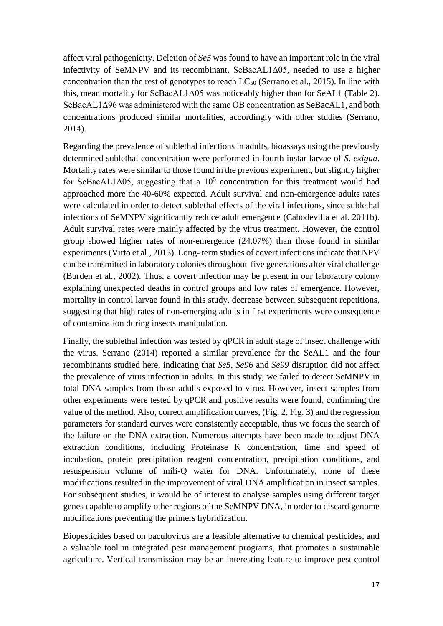affect viral pathogenicity. Deletion of *Se5* was found to have an important role in the viral infectivity of SeMNPV and its recombinant, SeBacAL1Δ05, needed to use a higher concentration than the rest of genotypes to reach  $LC_{50}$  (Serrano et al., 2015). In line with this, mean mortality for SeBacAL1Δ05 was noticeably higher than for SeAL1 (Table 2). SeBacAL1Δ96 was administered with the same OB concentration as SeBacAL1, and both concentrations produced similar mortalities, accordingly with other studies (Serrano, 2014).

Regarding the prevalence of sublethal infections in adults, bioassays using the previously determined sublethal concentration were performed in fourth instar larvae of *S. exigua*. Mortality rates were similar to those found in the previous experiment, but slightly higher for SeBacAL1 $\Delta$ 05, suggesting that a  $10^5$  concentration for this treatment would had approached more the 40-60% expected. Adult survival and non-emergence adults rates were calculated in order to detect sublethal effects of the viral infections, since sublethal infections of SeMNPV significantly reduce adult emergence (Cabodevilla et al. 2011b). Adult survival rates were mainly affected by the virus treatment. However, the control group showed higher rates of non-emergence (24.07%) than those found in similar experiments (Virto et al., 2013). Long- term studies of covert infections indicate that NPV can be transmitted in laboratory colonies throughout five generations after viral challenge (Burden et al., 2002). Thus, a covert infection may be present in our laboratory colony explaining unexpected deaths in control groups and low rates of emergence. However, mortality in control larvae found in this study, decrease between subsequent repetitions, suggesting that high rates of non-emerging adults in first experiments were consequence of contamination during insects manipulation.

Finally, the sublethal infection was tested by qPCR in adult stage of insect challenge with the virus. Serrano (2014) reported a similar prevalence for the SeAL1 and the four recombinants studied here, indicating that *Se5, Se96* and *Se99* disruption did not affect the prevalence of virus infection in adults. In this study, we failed to detect SeMNPV in total DNA samples from those adults exposed to virus. However, insect samples from other experiments were tested by qPCR and positive results were found, confirming the value of the method. Also, correct amplification curves, (Fig. 2, Fig. 3) and the regression parameters for standard curves were consistently acceptable, thus we focus the search of the failure on the DNA extraction. Numerous attempts have been made to adjust DNA extraction conditions, including Proteinase K concentration, time and speed of incubation, protein precipitation reagent concentration, precipitation conditions, and resuspension volume of mili-Q water for DNA. Unfortunately, none of these modifications resulted in the improvement of viral DNA amplification in insect samples. For subsequent studies, it would be of interest to analyse samples using different target genes capable to amplify other regions of the SeMNPV DNA, in order to discard genome modifications preventing the primers hybridization.

Biopesticides based on baculovirus are a feasible alternative to chemical pesticides, and a valuable tool in integrated pest management programs, that promotes a sustainable agriculture. Vertical transmission may be an interesting feature to improve pest control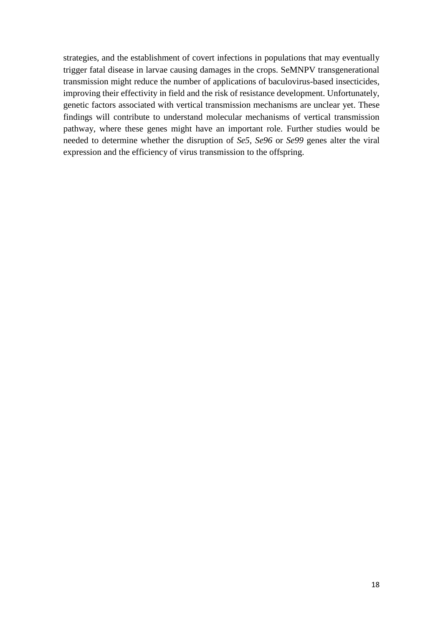strategies, and the establishment of covert infections in populations that may eventually trigger fatal disease in larvae causing damages in the crops. SeMNPV transgenerational transmission might reduce the number of applications of baculovirus-based insecticides, improving their effectivity in field and the risk of resistance development. Unfortunately, genetic factors associated with vertical transmission mechanisms are unclear yet. These findings will contribute to understand molecular mechanisms of vertical transmission pathway, where these genes might have an important role. Further studies would be needed to determine whether the disruption of *Se5, Se96* or *Se99* genes alter the viral expression and the efficiency of virus transmission to the offspring.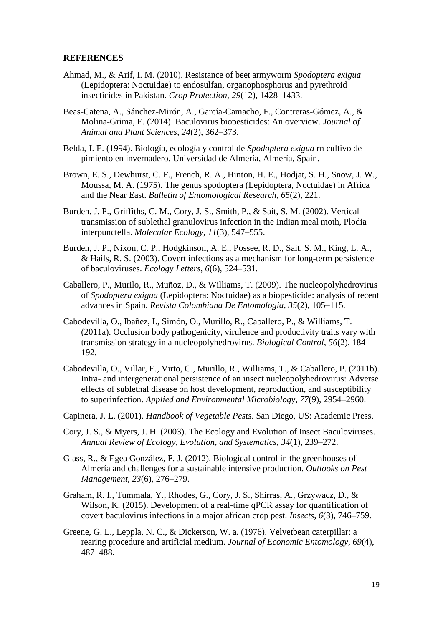#### **REFERENCES**

- Ahmad, M., & Arif, I. M. (2010). Resistance of beet armyworm *Spodoptera exigua* (Lepidoptera: Noctuidae) to endosulfan, organophosphorus and pyrethroid insecticides in Pakistan. *Crop Protection*, *29*(12), 1428–1433.
- Beas-Catena, A., Sánchez-Mirón, A., García-Camacho, F., Contreras-Gómez, A., & Molina-Grima, E. (2014). Baculovirus biopesticides: An overview. *Journal of Animal and Plant Sciences*, *24*(2), 362–373.
- Belda, J. E. (1994). Biología, ecología y control de *Spodoptera exigua* rn cultivo de pimiento en invernadero. Universidad de Almería, Almería, Spain.
- Brown, E. S., Dewhurst, C. F., French, R. A., Hinton, H. E., Hodjat, S. H., Snow, J. W., Moussa, M. A. (1975). The genus spodoptera (Lepidoptera, Noctuidae) in Africa and the Near East. *Bulletin of Entomological Research*, *65*(2), 221.
- Burden, J. P., Griffiths, C. M., Cory, J. S., Smith, P., & Sait, S. M. (2002). Vertical transmission of sublethal granulovirus infection in the Indian meal moth, Plodia interpunctella. *Molecular Ecology*, *11*(3), 547–555.
- Burden, J. P., Nixon, C. P., Hodgkinson, A. E., Possee, R. D., Sait, S. M., King, L. A., & Hails, R. S. (2003). Covert infections as a mechanism for long-term persistence of baculoviruses. *Ecology Letters*, *6*(6), 524–531.
- Caballero, P., Murilo, R., Muñoz, D., & Williams, T. (2009). The nucleopolyhedrovirus of *Spodoptera exigua* (Lepidoptera: Noctuidae) as a biopesticide: analysis of recent advances in Spain. *Revista Colombiana De Entomologia*, *35*(2), 105–115.
- Cabodevilla, O., Ibañez, I., Simón, O., Murillo, R., Caballero, P., & Williams, T. (2011a). Occlusion body pathogenicity, virulence and productivity traits vary with transmission strategy in a nucleopolyhedrovirus. *Biological Control*, *56*(2), 184– 192.
- Cabodevilla, O., Villar, E., Virto, C., Murillo, R., Williams, T., & Caballero, P. (2011b). Intra- and intergenerational persistence of an insect nucleopolyhedrovirus: Adverse effects of sublethal disease on host development, reproduction, and susceptibility to superinfection. *Applied and Environmental Microbiology*, *77*(9), 2954–2960.
- Capinera, J. L. (2001). *Handbook of Vegetable Pests*. San Diego, US: Academic Press.
- Cory, J. S., & Myers, J. H. (2003). The Ecology and Evolution of Insect Baculoviruses. *Annual Review of Ecology, Evolution, and Systematics*, *34*(1), 239–272.
- Glass, R., & Egea González, F. J. (2012). Biological control in the greenhouses of Almería and challenges for a sustainable intensive production. *Outlooks on Pest Management*, *23*(6), 276–279.
- Graham, R. I., Tummala, Y., Rhodes, G., Cory, J. S., Shirras, A., Grzywacz, D., & Wilson, K. (2015). Development of a real-time qPCR assay for quantification of covert baculovirus infections in a major african crop pest. *Insects*, *6*(3), 746–759.
- Greene, G. L., Leppla, N. C., & Dickerson, W. a. (1976). Velvetbean caterpillar: a rearing procedure and artificial medium. *Journal of Economic Entomology*, *69*(4), 487–488.